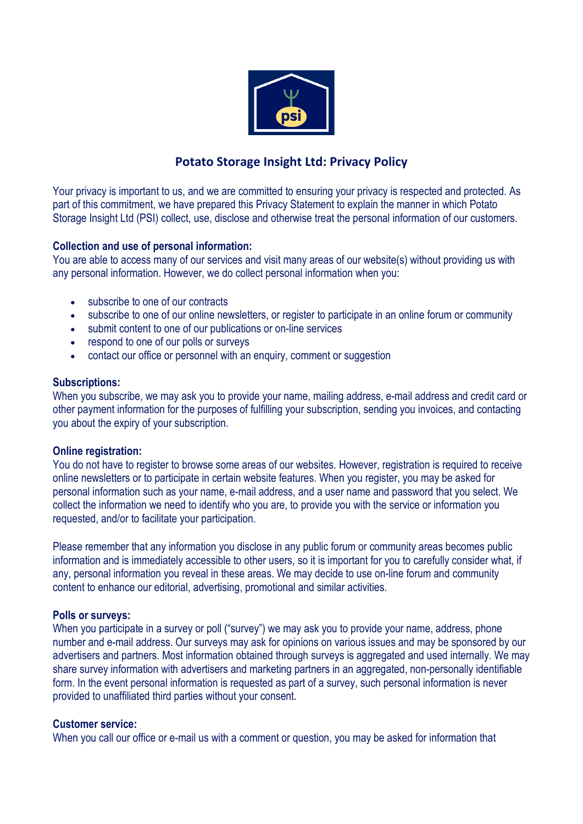

# **Potato Storage Insight Ltd: Privacy Policy**

Your privacy is important to us, and we are committed to ensuring your privacy is respected and protected. As part of this commitment, we have prepared this Privacy Statement to explain the manner in which Potato Storage Insight Ltd (PSI) collect, use, disclose and otherwise treat the personal information of our customers.

# **Collection and use of personal information:**

You are able to access many of our services and visit many areas of our website(s) without providing us with any personal information. However, we do collect personal information when you:

- subscribe to one of our contracts
- subscribe to one of our online newsletters, or register to participate in an online forum or community
- submit content to one of our publications or on-line services
- respond to one of our polls or surveys
- contact our office or personnel with an enquiry, comment or suggestion

## **Subscriptions:**

When you subscribe, we may ask you to provide your name, mailing address, e-mail address and credit card or other payment information for the purposes of fulfilling your subscription, sending you invoices, and contacting you about the expiry of your subscription.

## **Online registration:**

You do not have to register to browse some areas of our websites. However, registration is required to receive online newsletters or to participate in certain website features. When you register, you may be asked for personal information such as your name, e-mail address, and a user name and password that you select. We collect the information we need to identify who you are, to provide you with the service or information you requested, and/or to facilitate your participation.

Please remember that any information you disclose in any public forum or community areas becomes public information and is immediately accessible to other users, so it is important for you to carefully consider what, if any, personal information you reveal in these areas. We may decide to use on-line forum and community content to enhance our editorial, advertising, promotional and similar activities.

## **Polls or surveys:**

When you participate in a survey or poll ("survey") we may ask you to provide your name, address, phone number and e-mail address. Our surveys may ask for opinions on various issues and may be sponsored by our advertisers and partners. Most information obtained through surveys is aggregated and used internally. We may share survey information with advertisers and marketing partners in an aggregated, non-personally identifiable form. In the event personal information is requested as part of a survey, such personal information is never provided to unaffiliated third parties without your consent.

## **Customer service:**

When you call our office or e-mail us with a comment or question, you may be asked for information that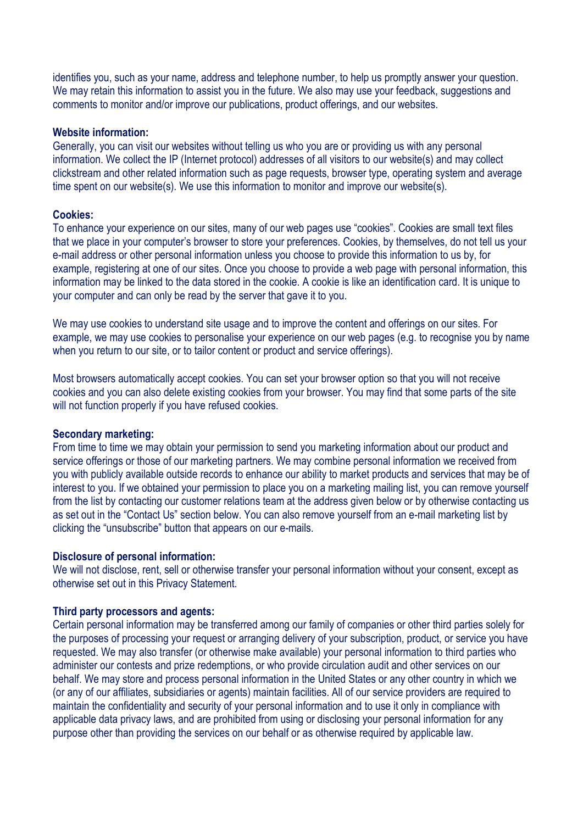identifies you, such as your name, address and telephone number, to help us promptly answer your question. We may retain this information to assist you in the future. We also may use your feedback, suggestions and comments to monitor and/or improve our publications, product offerings, and our websites.

#### **Website information:**

Generally, you can visit our websites without telling us who you are or providing us with any personal information. We collect the IP (Internet protocol) addresses of all visitors to our website(s) and may collect clickstream and other related information such as page requests, browser type, operating system and average time spent on our website(s). We use this information to monitor and improve our website(s).

## **Cookies:**

To enhance your experience on our sites, many of our web pages use "cookies". Cookies are small text files that we place in your computer's browser to store your preferences. Cookies, by themselves, do not tell us your e-mail address or other personal information unless you choose to provide this information to us by, for example, registering at one of our sites. Once you choose to provide a web page with personal information, this information may be linked to the data stored in the cookie. A cookie is like an identification card. It is unique to your computer and can only be read by the server that gave it to you.

We may use cookies to understand site usage and to improve the content and offerings on our sites. For example, we may use cookies to personalise your experience on our web pages (e.g. to recognise you by name when you return to our site, or to tailor content or product and service offerings).

Most browsers automatically accept cookies. You can set your browser option so that you will not receive cookies and you can also delete existing cookies from your browser. You may find that some parts of the site will not function properly if you have refused cookies.

# **Secondary marketing:**

From time to time we may obtain your permission to send you marketing information about our product and service offerings or those of our marketing partners. We may combine personal information we received from you with publicly available outside records to enhance our ability to market products and services that may be of interest to you. If we obtained your permission to place you on a marketing mailing list, you can remove yourself from the list by contacting our customer relations team at the address given below or by otherwise contacting us as set out in the "Contact Us" section below. You can also remove yourself from an e-mail marketing list by clicking the "unsubscribe" button that appears on our e-mails.

## **Disclosure of personal information:**

We will not disclose, rent, sell or otherwise transfer your personal information without your consent, except as otherwise set out in this Privacy Statement.

## **Third party processors and agents:**

Certain personal information may be transferred among our family of companies or other third parties solely for the purposes of processing your request or arranging delivery of your subscription, product, or service you have requested. We may also transfer (or otherwise make available) your personal information to third parties who administer our contests and prize redemptions, or who provide circulation audit and other services on our behalf. We may store and process personal information in the United States or any other country in which we (or any of our affiliates, subsidiaries or agents) maintain facilities. All of our service providers are required to maintain the confidentiality and security of your personal information and to use it only in compliance with applicable data privacy laws, and are prohibited from using or disclosing your personal information for any purpose other than providing the services on our behalf or as otherwise required by applicable law.